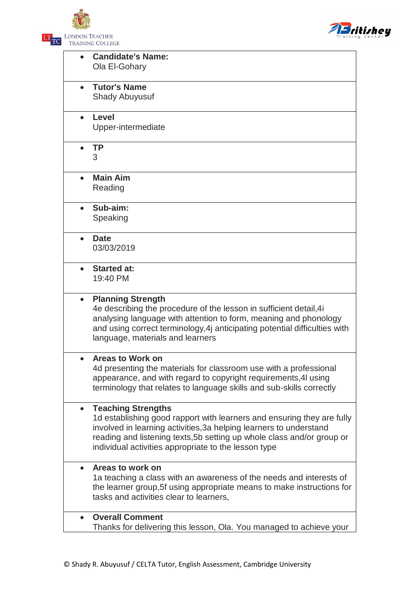LONDON TEACHER  $LT$ <sub>TC</sub> TRAINING COLLEGE



| <b>Candidate's Name:</b><br>Ola El-Gohary                                                                                                                                                                                                                                                                                |  |
|--------------------------------------------------------------------------------------------------------------------------------------------------------------------------------------------------------------------------------------------------------------------------------------------------------------------------|--|
| <b>Tutor's Name</b><br><b>Shady Abuyusuf</b>                                                                                                                                                                                                                                                                             |  |
| Level<br>$\bullet$<br>Upper-intermediate                                                                                                                                                                                                                                                                                 |  |
| <b>TP</b><br>3                                                                                                                                                                                                                                                                                                           |  |
| <b>Main Aim</b><br>Reading                                                                                                                                                                                                                                                                                               |  |
| Sub-aim:<br>Speaking                                                                                                                                                                                                                                                                                                     |  |
| <b>Date</b><br>03/03/2019                                                                                                                                                                                                                                                                                                |  |
| <b>Started at:</b><br>$\bullet$<br>19:40 PM                                                                                                                                                                                                                                                                              |  |
| <b>Planning Strength</b><br>$\bullet$<br>4e describing the procedure of the lesson in sufficient detail, 4<br>analysing language with attention to form, meaning and phonology<br>and using correct terminology, 4j anticipating potential difficulties with<br>language, materials and learners                         |  |
| <b>Areas to Work on</b><br>4d presenting the materials for classroom use with a professional<br>appearance, and with regard to copyright requirements, 4I using<br>terminology that relates to language skills and sub-skills correctly                                                                                  |  |
| <b>Teaching Strengths</b><br>$\bullet$<br>1d establishing good rapport with learners and ensuring they are fully<br>involved in learning activities, 3a helping learners to understand<br>reading and listening texts, 5b setting up whole class and/or group or<br>individual activities appropriate to the lesson type |  |
| Areas to work on<br>$\bullet$<br>1a teaching a class with an awareness of the needs and interests of<br>the learner group, 5f using appropriate means to make instructions for<br>tasks and activities clear to learners,                                                                                                |  |
| <b>Overall Comment</b><br>$\bullet$<br>Thanks for delivering this lesson, Ola. You managed to achieve your                                                                                                                                                                                                               |  |